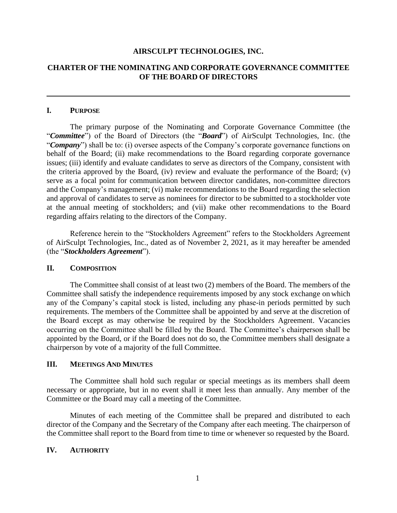## **AIRSCULPT TECHNOLOGIES, INC.**

# **CHARTER OF THE NOMINATING AND CORPORATE GOVERNANCE COMMITTEE OF THE BOARD OF DIRECTORS**

#### **I. PURPOSE**

The primary purpose of the Nominating and Corporate Governance Committee (the "*Committee*") of the Board of Directors (the "*Board*") of AirSculpt Technologies, Inc. (the "*Company*") shall be to: (i) oversee aspects of the Company's corporate governance functions on behalf of the Board; (ii) make recommendations to the Board regarding corporate governance issues; (iii) identify and evaluate candidates to serve as directors of the Company, consistent with the criteria approved by the Board, (iv) review and evaluate the performance of the Board; (v) serve as a focal point for communication between director candidates, non-committee directors and the Company's management; (vi) make recommendations to the Board regarding the selection and approval of candidates to serve as nominees for director to be submitted to a stockholder vote at the annual meeting of stockholders; and (vii) make other recommendations to the Board regarding affairs relating to the directors of the Company.

Reference herein to the "Stockholders Agreement" refers to the Stockholders Agreement of AirSculpt Technologies, Inc., dated as of November 2, 2021, as it may hereafter be amended (the "*Stockholders Agreement*").

# **II. COMPOSITION**

The Committee shall consist of at least two (2) members of the Board. The members of the Committee shall satisfy the independence requirements imposed by any stock exchange on which any of the Company's capital stock is listed, including any phase-in periods permitted by such requirements. The members of the Committee shall be appointed by and serve at the discretion of the Board except as may otherwise be required by the Stockholders Agreement. Vacancies occurring on the Committee shall be filled by the Board. The Committee's chairperson shall be appointed by the Board, or if the Board does not do so, the Committee members shall designate a chairperson by vote of a majority of the full Committee.

#### **III. MEETINGS AND MINUTES**

The Committee shall hold such regular or special meetings as its members shall deem necessary or appropriate, but in no event shall it meet less than annually. Any member of the Committee or the Board may call a meeting of the Committee.

Minutes of each meeting of the Committee shall be prepared and distributed to each director of the Company and the Secretary of the Company after each meeting. The chairperson of the Committee shall report to the Board from time to time or whenever so requested by the Board.

### **IV. AUTHORITY**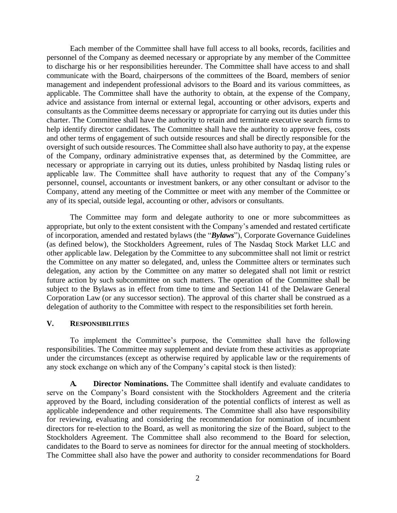Each member of the Committee shall have full access to all books, records, facilities and personnel of the Company as deemed necessary or appropriate by any member of the Committee to discharge his or her responsibilities hereunder. The Committee shall have access to and shall communicate with the Board, chairpersons of the committees of the Board, members of senior management and independent professional advisors to the Board and its various committees, as applicable. The Committee shall have the authority to obtain, at the expense of the Company, advice and assistance from internal or external legal, accounting or other advisors, experts and consultants as the Committee deems necessary or appropriate for carrying out its duties under this charter. The Committee shall have the authority to retain and terminate executive search firms to help identify director candidates. The Committee shall have the authority to approve fees, costs and other terms of engagement of such outside resources and shall be directly responsible for the oversight of such outside resources. The Committee shall also have authority to pay, at the expense of the Company, ordinary administrative expenses that, as determined by the Committee, are necessary or appropriate in carrying out its duties, unless prohibited by Nasdaq listing rules or applicable law. The Committee shall have authority to request that any of the Company's personnel, counsel, accountants or investment bankers, or any other consultant or advisor to the Company, attend any meeting of the Committee or meet with any member of the Committee or any of its special, outside legal, accounting or other, advisors or consultants.

The Committee may form and delegate authority to one or more subcommittees as appropriate, but only to the extent consistent with the Company's amended and restated certificate of incorporation, amended and restated bylaws (the "*Bylaws*"), Corporate Governance Guidelines (as defined below), the Stockholders Agreement, rules of The Nasdaq Stock Market LLC and other applicable law. Delegation by the Committee to any subcommittee shall not limit or restrict the Committee on any matter so delegated, and, unless the Committee alters or terminates such delegation, any action by the Committee on any matter so delegated shall not limit or restrict future action by such subcommittee on such matters. The operation of the Committee shall be subject to the Bylaws as in effect from time to time and Section 141 of the Delaware General Corporation Law (or any successor section). The approval of this charter shall be construed as a delegation of authority to the Committee with respect to the responsibilities set forth herein.

## **V. RESPONSIBILITIES**

To implement the Committee's purpose, the Committee shall have the following responsibilities. The Committee may supplement and deviate from these activities as appropriate under the circumstances (except as otherwise required by applicable law or the requirements of any stock exchange on which any of the Company's capital stock is then listed):

**A. Director Nominations.** The Committee shall identify and evaluate candidates to serve on the Company's Board consistent with the Stockholders Agreement and the criteria approved by the Board, including consideration of the potential conflicts of interest as well as applicable independence and other requirements. The Committee shall also have responsibility for reviewing, evaluating and considering the recommendation for nomination of incumbent directors for re-election to the Board, as well as monitoring the size of the Board, subject to the Stockholders Agreement. The Committee shall also recommend to the Board for selection, candidates to the Board to serve as nominees for director for the annual meeting of stockholders. The Committee shall also have the power and authority to consider recommendations for Board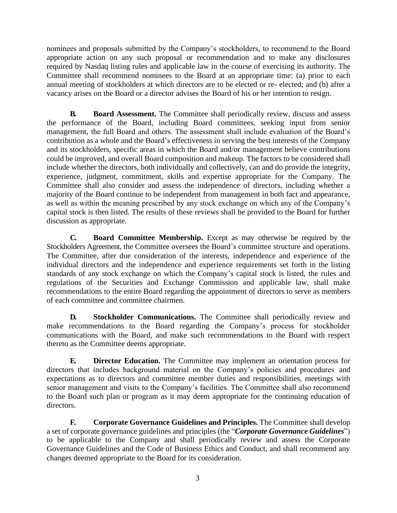nominees and proposals submitted by the Company's stockholders, to recommend to the Board appropriate action on any such proposal or recommendation and to make any disclosures required by Nasdaq listing rules and applicable law in the course of exercising its authority. The Committee shall recommend nominees to the Board at an appropriate time: (a) prior to each annual meeting of stockholders at which directors are to be elected or re- elected; and (b) after a vacancy arises on the Board or a director advises the Board of his or her intention to resign.

**B. Board Assessment.** The Committee shall periodically review, discuss and assess the performance of the Board, including Board committees, seeking input from senior management, the full Board and others. The assessment shall include evaluation of the Board's contribution as a whole and the Board's effectiveness in serving the best interests of the Company and its stockholders, specific areas in which the Board and/or management believe contributions could be improved, and overall Board composition and makeup. The factors to be considered shall include whether the directors, both individually and collectively, can and do provide the integrity, experience, judgment, commitment, skills and expertise appropriate for the Company. The Committee shall also consider and assess the independence of directors, including whether a majority of the Board continue to be independent from management in both fact and appearance, as well as within the meaning prescribed by any stock exchange on which any of the Company's capital stock is then listed. The results of these reviews shall be provided to the Board for further discussion as appropriate.

**C. Board Committee Membership.** Except as may otherwise be required by the Stockholders Agreement, the Committee oversees the Board's committee structure and operations. The Committee, after due consideration of the interests, independence and experience of the individual directors and the independence and experience requirements set forth in the listing standards of any stock exchange on which the Company's capital stock is listed, the rules and regulations of the Securities and Exchange Commission and applicable law, shall make recommendations to the entire Board regarding the appointment of directors to serve as members of each committee and committee chairmen.

**D. Stockholder Communications.** The Committee shall periodically review and make recommendations to the Board regarding the Company's process for stockholder communications with the Board, and make such recommendations to the Board with respect thereto as the Committee deems appropriate.

**E. Director Education.** The Committee may implement an orientation process for directors that includes background material on the Company's policies and procedures and expectations as to directors and committee member duties and responsibilities, meetings with senior management and visits to the Company's facilities. The Committee shall also recommend to the Board such plan or program as it may deem appropriate for the continuing education of directors.

**F. Corporate Governance Guidelines and Principles.** The Committee shall develop a set of corporate governance guidelines and principles (the "*Corporate Governance Guidelines*") to be applicable to the Company and shall periodically review and assess the Corporate Governance Guidelines and the Code of Business Ethics and Conduct, and shall recommend any changes deemed appropriate to the Board for its consideration.